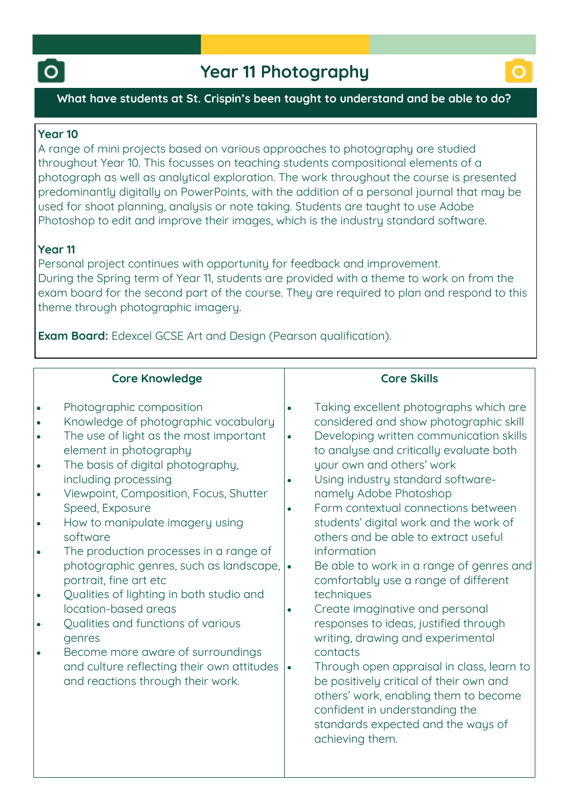



### **What have students at St. Crispin's been taught to understand and be able to do?**

### **Year 10**

**A range of mini projects based on various approaches to photography are studied throughout Year 10. This focusses on teaching students compositional elements of a photograph as well as analytical exploration. The work throughout the course is presented predominantly digitally on PowerPoints, with the addition of a personal journal that may be used for shoot planning, analysis or note taking. Students are taught to use Adobe Photoshop to edit and improve their images, which is the industry standard software.**

# **Year 11**

**Personal project continues with opportunity for feedback and improvement. During the Spring term of Year 11, students are provided with a theme to work on from the exam board for the second part of the course. They are required to plan and respond to this theme through photographic imagery.**

**Exam Board: Edexcel GCSE Art and Design (Pearson qualification).**

## **Core Knowledge**

| ه ا | Photographic composition             |
|-----|--------------------------------------|
| ه ا | Knowledge of photographic vocabulary |

- **The use of light as the most important element in photography**
- **The basis of digital photography, including processing**
- **Viewpoint, Composition, Focus, Shutter Speed, Exposure**
- **How to manipulate imagery using software**
- **The production processes in a range of photographic genres, such as landscape, portrait, fine art etc**
- **Qualities of lighting in both studio and location-based areas**
- **Qualities and functions of various genres**
- **Become more aware of surroundings and culture reflecting their own attitudes and reactions through their work.**

# **Core Skills**

- **Taking excellent photographs which are considered and show photographic skill**
- **Developing written communication skills to analyse and critically evaluate both your own and others' work**
- **Using industry standard softwarenamely Adobe Photoshop**
- **Form contextual connections between students' digital work and the work of others and be able to extract useful information**
- **Be able to work in a range of genres and comfortably use a range of different techniques**
- **Create imaginative and personal responses to ideas, justified through writing, drawing and experimental contacts**
- **Through open appraisal in class, learn to be positively critical of their own and others' work, enabling them to become confident in understanding the standards expected and the ways of achieving them.**